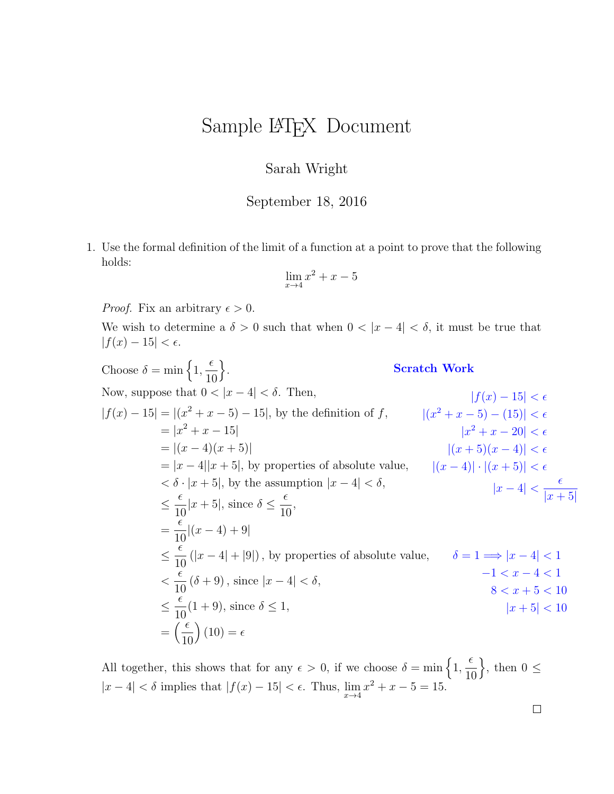## Sample LAT<sub>EX</sub> Document

## Sarah Wright

September 18, 2016

1. Use the formal definition of the limit of a function at a point to prove that the following holds:

$$
\lim_{x \to 4} x^2 + x - 5
$$

*Proof.* Fix an arbitrary  $\epsilon > 0$ .

We wish to determine a  $\delta > 0$  such that when  $0 < |x - 4| < \delta$ , it must be true that  $|f(x) - 15| < \epsilon.$ 

Choose  $\delta = \min \left\{ 1, \right\}$  $\epsilon$ 10  $\bigg\}$ . Now, suppose that  $0 < |x-4| < \delta$ . Then,  $|f(x) - 15| = |(x^2 + x - 5) - 15|$ , by the definition of f,  $|(x^2 + x - 5) - (15)| < \epsilon$  $= |x^2 + x - 15|$  $= |(x-4)(x+5)|$  $= |x - 4||x + 5|$ , by properties of absolute value,  $< \delta \cdot |x + 5|$ , by the assumption  $|x - 4| < \delta$ ,  $\leq \frac{\epsilon}{16}$ 10  $|x+5|$ , since  $\delta \leq \frac{\epsilon}{16}$ 10 , =  $\epsilon$ 10  $|(x-4)+9|$  $\leq \frac{\epsilon}{16}$ 10  $(|x-4|+|9|)$ , by properties of absolute value,  $\delta = 1 \Longrightarrow |x-4| < 1$  $\lt$  $\epsilon$ 10  $(\delta + 9)$ , since  $|x-4| < \delta$ ,  $\leq \frac{\epsilon}{16}$ 10  $(1+9)$ , since  $\delta \leq 1$ ,  $=\left(\frac{\epsilon}{16}\right)$ 10  $(10) = \epsilon$ Scratch Work  $|f(x) - 15| < \epsilon$  $|x^2+x-20|<\epsilon$  $|(x+5)(x-4)| < \epsilon$  $|(x-4)| \cdot |(x+5)| < \epsilon$  $|x-4|<\frac{\epsilon}{1+\epsilon}$  $|x + 5|$  $-1 < x - 4 < 1$  $8 < x + 5 < 10$  $|x + 5| < 10$ 

All together, this shows that for any  $\epsilon > 0$ , if we choose  $\delta = \min \{1, \ldots, \ldots \}$  $\epsilon$ 10  $\Big\}$ , then  $0 \leq$  $|x-4| < \delta$  implies that  $|f(x) - 15| < \epsilon$ . Thus,  $\lim_{x \to 4} x^2 + x - 5 = 15$ .

 $\Box$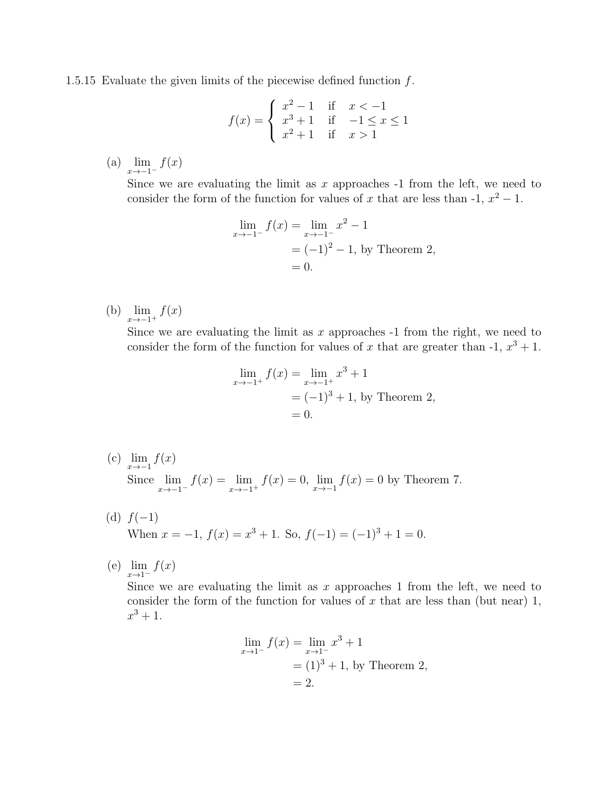1.5.15 Evaluate the given limits of the piecewise defined function f.

$$
f(x) = \begin{cases} x^2 - 1 & \text{if } x < -1 \\ x^3 + 1 & \text{if } -1 \le x \le 1 \\ x^2 + 1 & \text{if } x > 1 \end{cases}
$$

(a)  $\lim_{x \to -1^{-}} f(x)$ 

Since we are evaluating the limit as x approaches  $-1$  from the left, we need to consider the form of the function for values of x that are less than  $-1$ ,  $x^2 - 1$ .

$$
\lim_{x \to -1^{-}} f(x) = \lim_{x \to -1^{-}} x^{2} - 1
$$
  
=  $(-1)^{2} - 1$ , by Theorem 2,  
= 0.

(b)  $\lim_{x \to -1^+} f(x)$ 

Since we are evaluating the limit as  $x$  approaches  $-1$  from the right, we need to consider the form of the function for values of x that are greater than  $-1, x^3 + 1$ .

$$
\lim_{x \to -1^{+}} f(x) = \lim_{x \to -1^{+}} x^{3} + 1
$$
  
= (-1)<sup>3</sup> + 1, by Theorem 2,  
= 0.

- (c)  $\lim_{x \to -1} f(x)$ Since  $\lim_{x \to -1^{-}} f(x) = \lim_{x \to -1^{+}} f(x) = 0$ ,  $\lim_{x \to -1} f(x) = 0$  by Theorem 7.
- (d)  $f(-1)$ When  $x = -1$ ,  $f(x) = x^3 + 1$ . So,  $f(-1) = (-1)^3 + 1 = 0$ .
- (e)  $\lim_{x \to 1^-} f(x)$

Since we are evaluating the limit as  $x$  approaches 1 from the left, we need to consider the form of the function for values of x that are less than (but near) 1,  $x^3 + 1.$ 

$$
\lim_{x \to 1^{-}} f(x) = \lim_{x \to 1^{-}} x^{3} + 1
$$
  
= (1)<sup>3</sup> + 1, by Theorem 2,  
= 2.